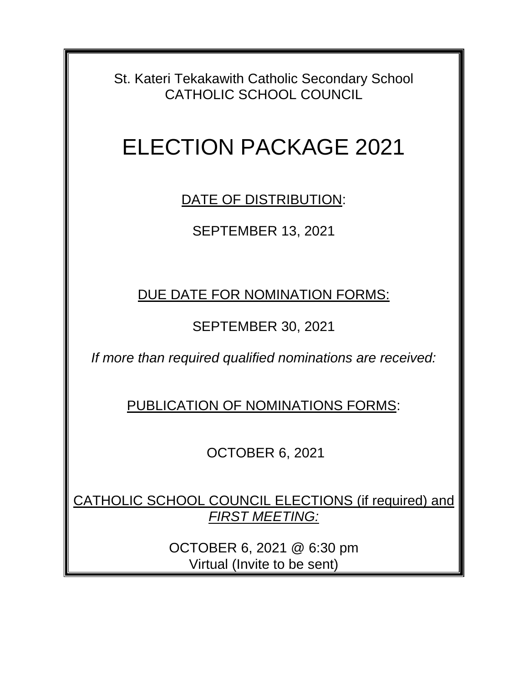St. Kateri Tekakawith Catholic Secondary School CATHOLIC SCHOOL COUNCIL

## ELECTION PACKAGE 2021

DATE OF DISTRIBUTION:

SEPTEMBER 13, 2021

DUE DATE FOR NOMINATION FORMS:

SEPTEMBER 30, 2021

*If more than required qualified nominations are received:*

PUBLICATION OF NOMINATIONS FORMS:

OCTOBER 6, 2021

CATHOLIC SCHOOL COUNCIL ELECTIONS (if required) and *FIRST MEETING:*

> OCTOBER 6, 2021 @ 6:30 pm Virtual (Invite to be sent)